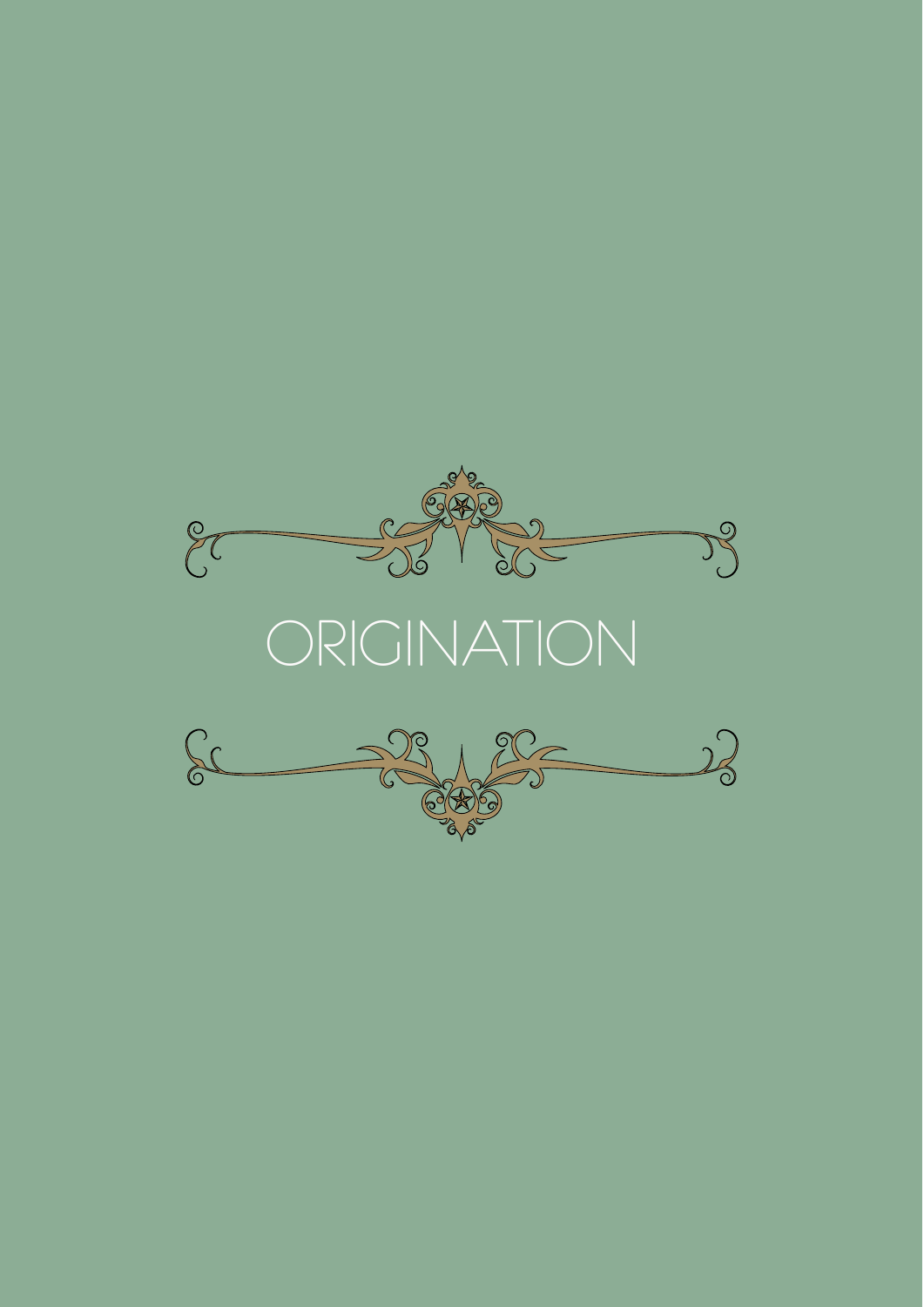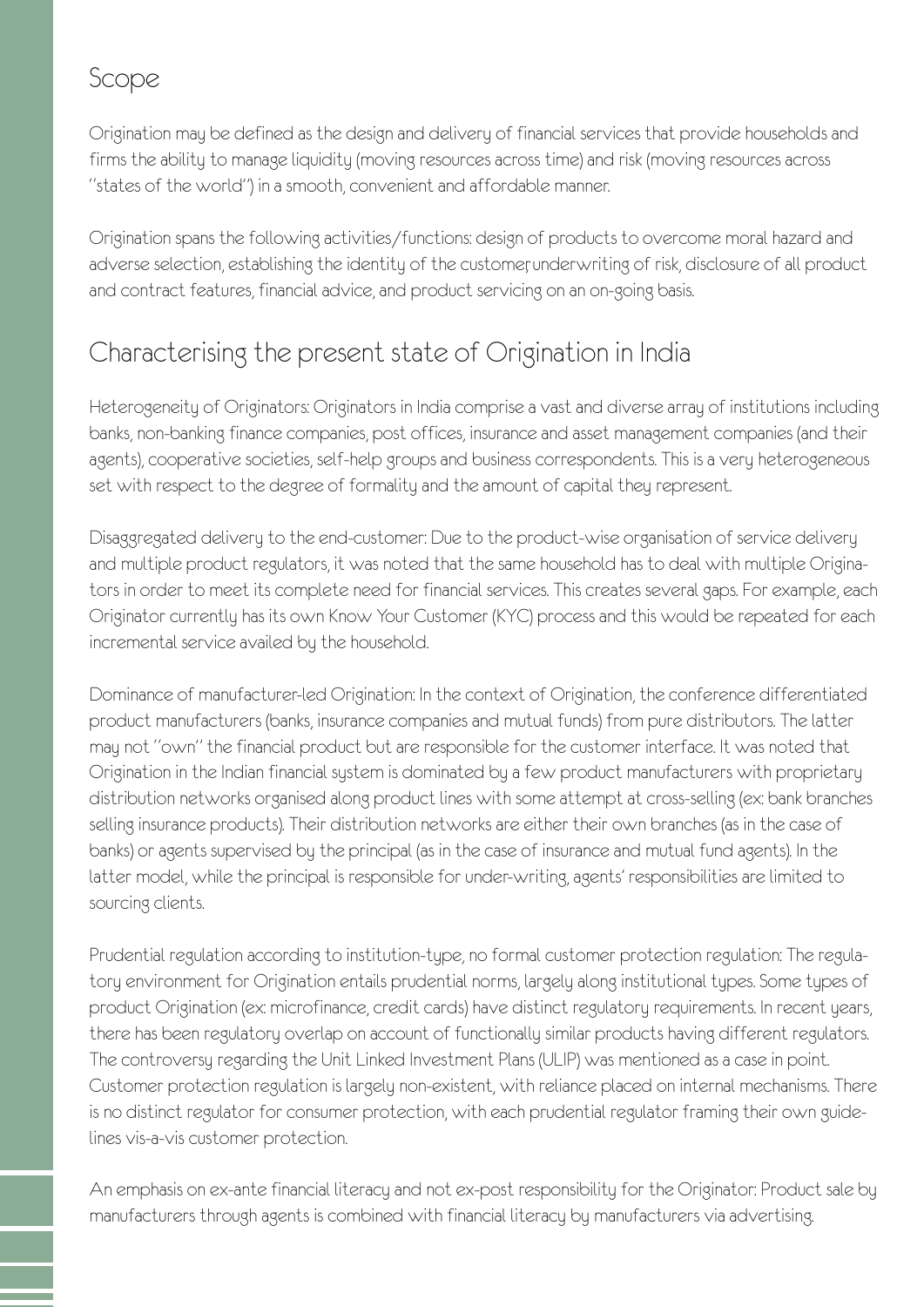#### Scope

Origination may be defined as the design and delivery of financial services that provide households and firms the ability to manage liquidity (moving resources across time) and risk (moving resources across "states of the world") in a smooth, convenient and affordable manner.

Origination spans the following activities/functions: design of products to overcome moral hazard and adverse selection, establishing the identity of the customer underwriting of risk, disclosure of all product and contract features, financial advice, and product servicing on an on-going basis.

### Characterising the present state of Origination in India

Heterogeneity of Originators: Originators in India comprise a vast and diverse array of institutions including banks, non-banking finance companies, post offices, insurance and asset management companies (and their agents), cooperative societies, self-help groups and business correspondents. This is a very heterogeneous set with respect to the degree of formality and the amount of capital they represent.

Disaggregated delivery to the end-customer: Due to the product-wise organisation of service delivery and multiple product regulators, it was noted that the same household has to deal with multiple Originators in order to meet its complete need for financial services. This creates several gaps. For example, each Originator currently has its own Know Your Customer (KYC) process and this would be repeated for each incremental service availed by the household.

Dominance of manufacturer-led Origination: In the context of Origination, the conference differentiated product manufacturers (banks, insurance companies and mutual funds) from pure distributors. The latter may not "own" the financial product but are responsible for the customer interface. It was noted that Origination in the Indian financial system is dominated by a few product manufacturers with proprietary distribution networks organised along product lines with some attempt at cross-selling (ex: bank branches selling insurance products). Their distribution networks are either their own branches (as in the case of banks) or agents supervised by the principal (as in the case of insurance and mutual fund agents). In the latter model, while the principal is responsible for under-writing, agents' responsibilities are limited to sourcing clients.

Prudential regulation according to institution-type, no formal customer protection regulation: The regulatory environment for Origination entails prudential norms, largely along institutional types. Some types of product Origination (ex: microfinance, credit cards) have distinct regulatory requirements. In recent years, there has been regulatory overlap on account of functionally similar products having different regulators. The controversy regarding the Unit Linked Investment Plans (ULIP) was mentioned as a case in point. Customer protection regulation is largely non-existent, with reliance placed on internal mechanisms. There is no distinct regulator for consumer protection, with each prudential regulator framing their own guidelines vis-a-vis customer protection.

An emphasis on ex-ante financial literacy and not ex-post responsibility for the Originator: Product sale by manufacturers through agents is combined with financial literacy by manufacturers via advertising.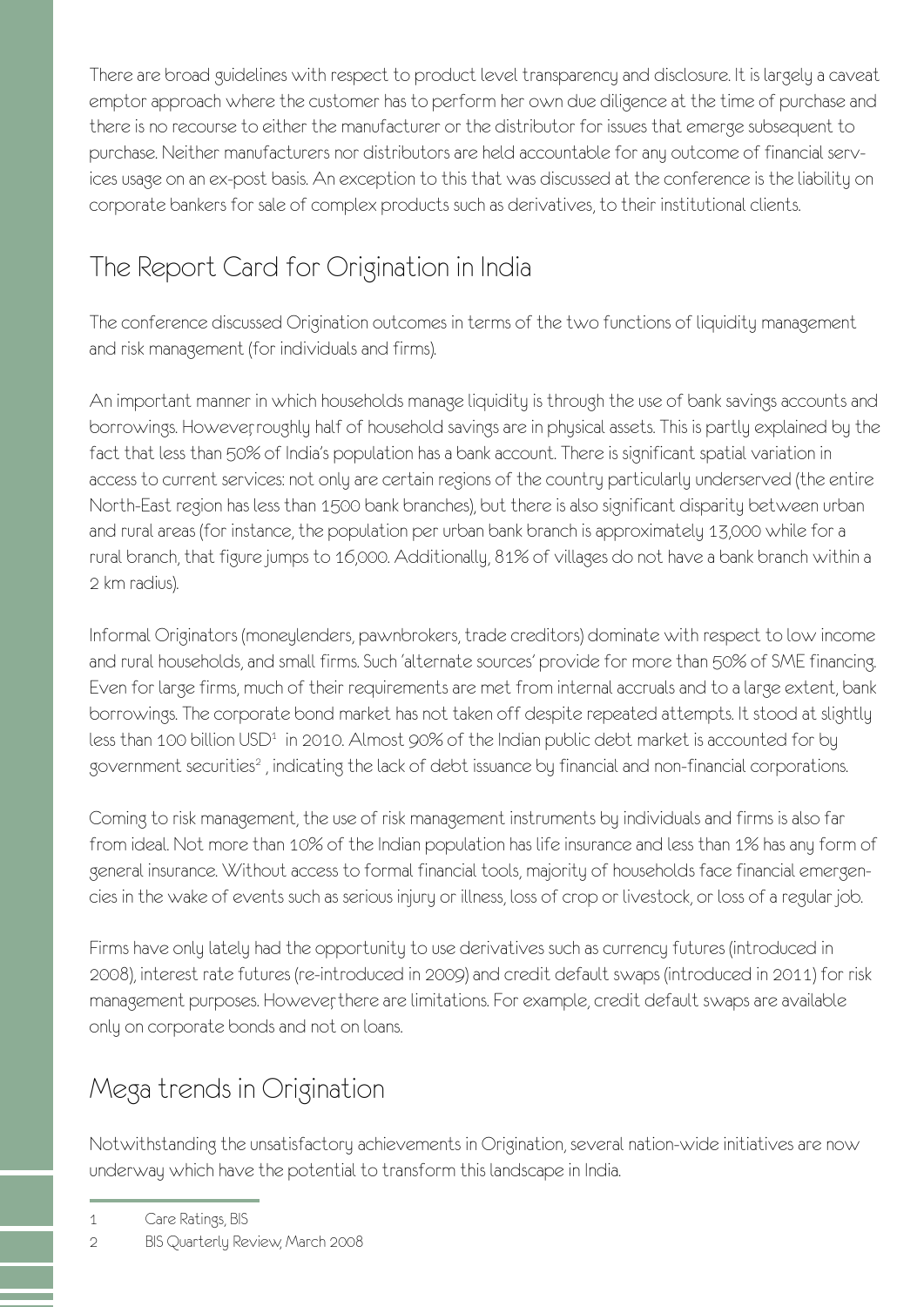There are broad guidelines with respect to product level transparency and disclosure. It is largely a caveat emptor approach where the customer has to perform her own due diligence at the time of purchase and there is no recourse to either the manufacturer or the distributor for issues that emerge subsequent to purchase. Neither manufacturers nor distributors are held accountable for any outcome of financial services usage on an ex-post basis. An exception to this that was discussed at the conference is the liability on corporate bankers for sale of complex products such as derivatives, to their institutional clients.

# The Report Card for Origination in India

The conference discussed Origination outcomes in terms of the two functions of liquidity management and risk management (for individuals and firms).

An important manner in which households manage liquidity is through the use of bank savings accounts and borrowings. However, roughly half of household savings are in physical assets. This is partly explained by the fact that less than 50% of India's population has a bank account. There is significant spatial variation in access to current services: not only are certain regions of the country particularly underserved (the entire North-East region has less than 1500 bank branches), but there is also significant disparity between urban and rural areas (for instance, the population per urban bank branch is approximately 13,000 while for a rural branch, that figure jumps to 16,000. Additionally, 81% of villages do not have a bank branch within a 2 km radius).

Informal Originators (moneylenders, pawnbrokers, trade creditors) dominate with respect to low income and rural households, and small firms. Such 'alternate sources' provide for more than 50% of SME financing. Even for large firms, much of their requirements are met from internal accruals and to a large extent, bank borrowings. The corporate bond market has not taken off despite repeated attempts. It stood at slightly less than 100 billion USD<sup>1</sup> in 2010. Almost 90% of the Indian public debt market is accounted for by government securities<sup>2</sup>, indicating the lack of debt issuance by financial and non-financial corporations.

Coming to risk management, the use of risk management instruments by individuals and firms is also far from ideal. Not more than 10% of the Indian population has life insurance and less than 1% has any form of general insurance. Without access to formal financial tools, majority of households face financial emergencies in the wake of events such as serious injury or illness, loss of crop or livestock, or loss of a regular job.

Firms have only lately had the opportunity to use derivatives such as currency futures (introduced in 2008), interest rate futures (re-introduced in 2009) and credit default swaps (introduced in 2011) for risk management purposes. However there are limitations. For example, credit default swaps are available only on corporate bonds and not on loans.

## Mega trends in Origination

Notwithstanding the unsatisfactory achievements in Origination, several nation-wide initiatives are now underway which have the potential to transform this landscape in India.

1 Care Ratings, BIS

<sup>2</sup> BIS Quarterly Review, March 2008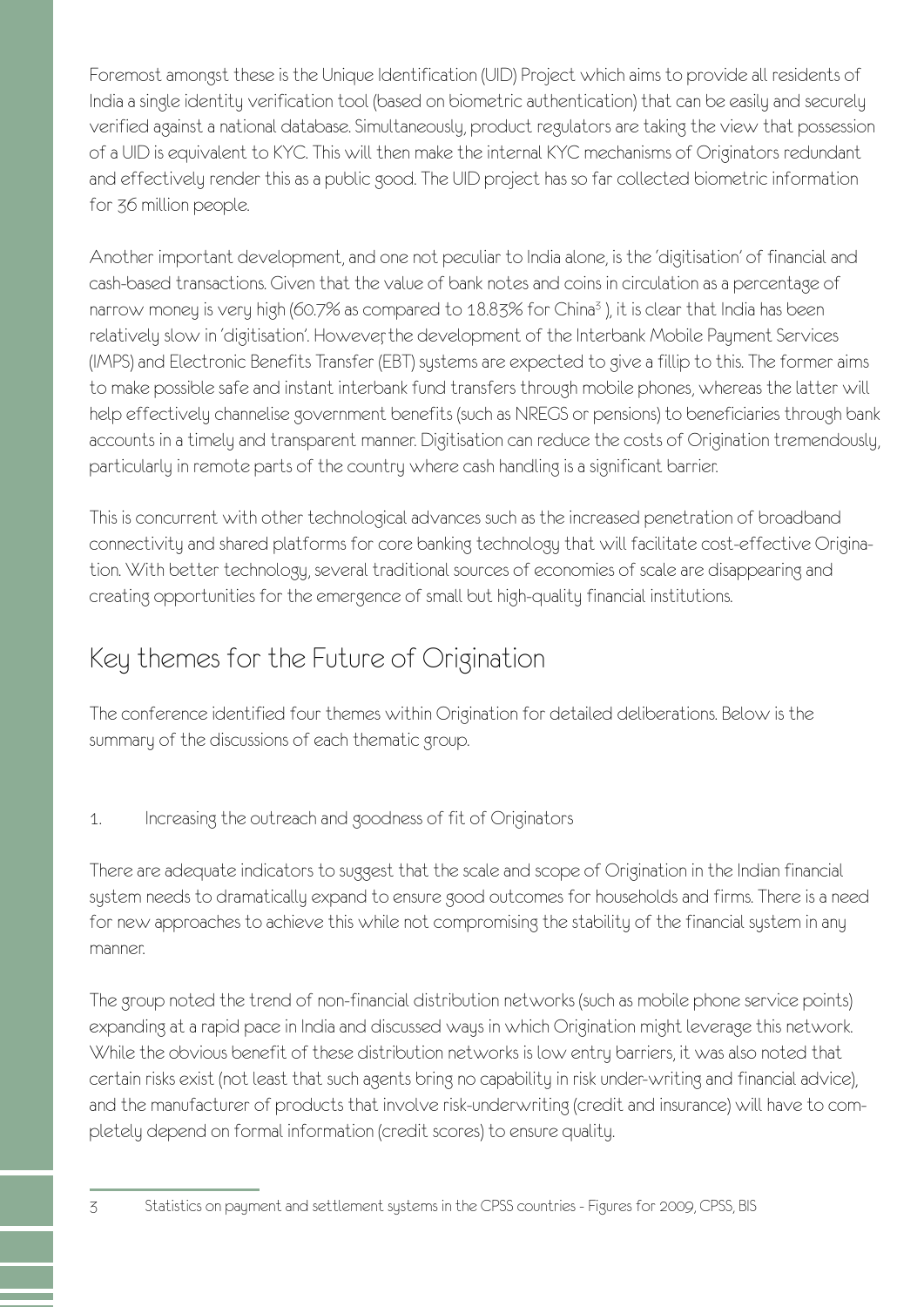Foremost amongst these is the Unique Identification (UID) Project which aims to provide all residents of India a single identity verification tool (based on biometric authentication) that can be easily and securely verified against a national database. Simultaneously, product regulators are taking the view that possession of a UID is equivalent to KYC. This will then make the internal KYC mechanisms of Originators redundant and effectively render this as a public good. The UID project has so far collected biometric information for 36 million people.

Another important development, and one not peculiar to India alone, is the 'digitisation' of financial and cash-based transactions. Given that the value of bank notes and coins in circulation as a percentage of narrow money is very high (60.7% as compared to 18.83% for China<sup>3</sup>), it is clear that India has been relatively slow in 'digitisation'. However, the development of the Interbank Mobile Payment Services (IMPS) and Electronic Benefits Transfer (EBT) systems are expected to give a fillip to this. The former aims to make possible safe and instant interbank fund transfers through mobile phones, whereas the latter will help effectively channelise government benefits (such as NREGS or pensions) to beneficiaries through bank accounts in a timely and transparent manner. Digitisation can reduce the costs of Origination tremendously, particularly in remote parts of the country where cash handling is a significant barrier.

This is concurrent with other technological advances such as the increased penetration of broadband connectivity and shared platforms for core banking technology that will facilitate cost-effective Origination. With better technology, several traditional sources of economies of scale are disappearing and creating opportunities for the emergence of small but high-quality financial institutions.

### Key themes for the Future of Origination

The conference identified four themes within Origination for detailed deliberations. Below is the summary of the discussions of each thematic group.

1. Increasing the outreach and goodness of fit of Originators

There are adequate indicators to suggest that the scale and scope of Origination in the Indian financial system needs to dramatically expand to ensure good outcomes for households and firms. There is a need for new approaches to achieve this while not compromising the stability of the financial system in any manner.

The group noted the trend of non-financial distribution networks (such as mobile phone service points) expanding at a rapid pace in India and discussed ways in which Origination might leverage this network. While the obvious benefit of these distribution networks is low entry barriers, it was also noted that certain risks exist (not least that such agents bring no capability in risk under-writing and financial advice), and the manufacturer of products that involve risk-underwriting (credit and insurance) will have to completely depend on formal information (credit scores) to ensure quality.

3 Statistics on payment and settlement systems in the CPSS countries - Figures for 2009, CPSS, BIS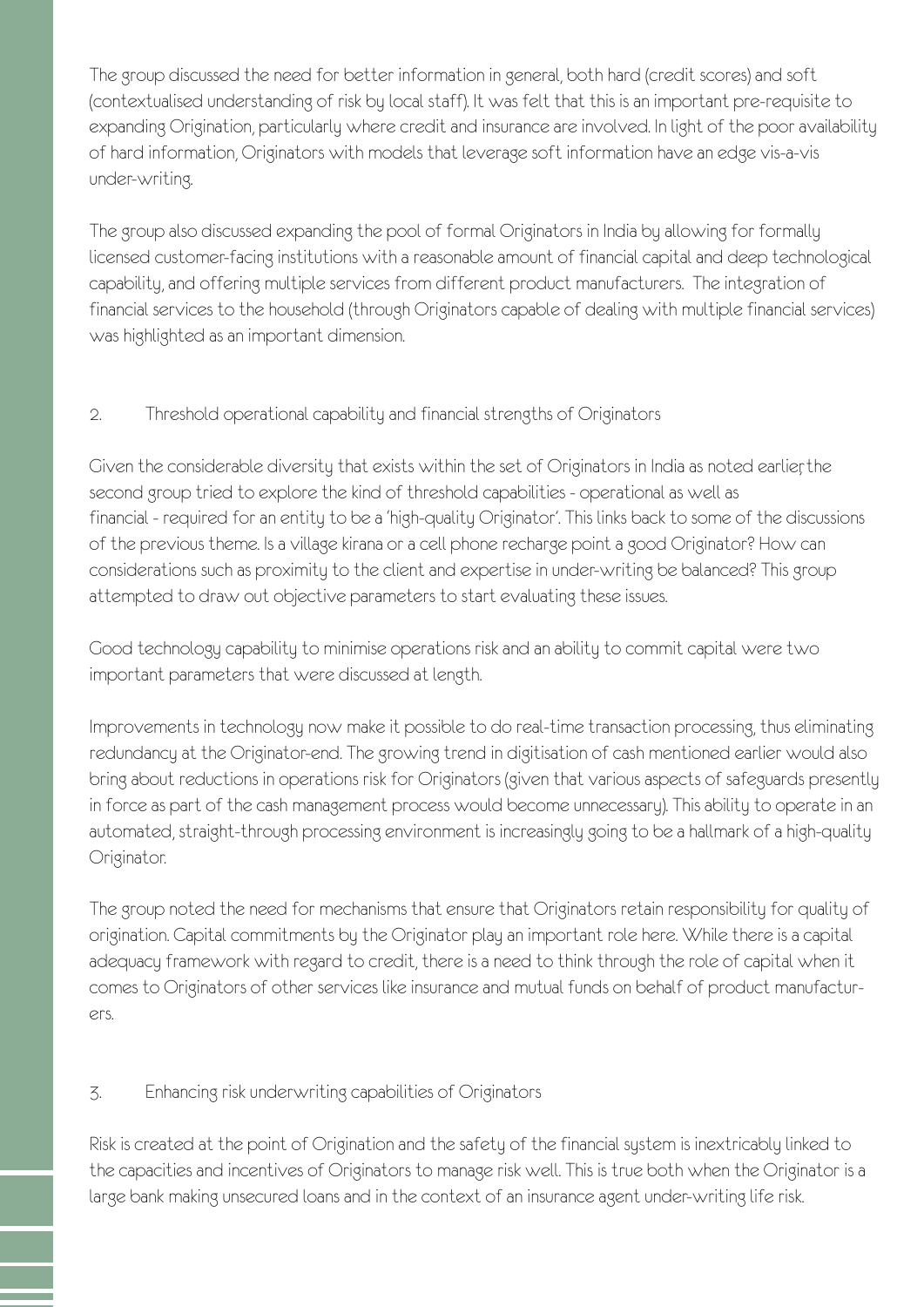The group discussed the need for better information in general, both hard (credit scores) and soft (contextualised understanding of risk by local staff). It was felt that this is an important pre-requisite to expanding Origination, particularly where credit and insurance are involved. In light of the poor availability of hard information, Originators with models that leverage soft information have an edge vis-a-vis under-writing.

The group also discussed expanding the pool of formal Originators in India by allowing for formally licensed customer-facing institutions with a reasonable amount of financial capital and deep technological capability, and offering multiple services from different product manufacturers. The integration of financial services to the household (through Originators capable of dealing with multiple financial services) was highlighted as an important dimension.

#### 2. Threshold operational capability and financial strengths of Originators

Given the considerable diversity that exists within the set of Originators in India as noted earlier, the second group tried to explore the kind of threshold capabilities - operational as well as financial - required for an entity to be a 'high-quality Originator'. This links back to some of the discussions of the previous theme. Is a village kirana or a cell phone recharge point a good Originator? How can considerations such as proximity to the client and expertise in under-writing be balanced? This group attempted to draw out objective parameters to start evaluating these issues.

Good technology capability to minimise operations risk and an ability to commit capital were two important parameters that were discussed at length.

Improvements in technology now make it possible to do real-time transaction processing, thus eliminating redundancy at the Originator-end. The growing trend in digitisation of cash mentioned earlier would also bring about reductions in operations risk for Originators (given that various aspects of safeguards presently in force as part of the cash management process would become unnecessary). This ability to operate in an automated, straight-through processing environment is increasingly going to be a hallmark of a high-quality Originator.

The group noted the need for mechanisms that ensure that Originators retain responsibility for quality of origination. Capital commitments by the Originator play an important role here. While there is a capital adequacy framework with regard to credit, there is a need to think through the role of capital when it comes to Originators of other services like insurance and mutual funds on behalf of product manufacturers.

#### 3. Enhancing risk underwriting capabilities of Originators

Risk is created at the point of Origination and the safety of the financial system is inextricably linked to the capacities and incentives of Originators to manage risk well. This is true both when the Originator is a large bank making unsecured loans and in the context of an insurance agent under-writing life risk.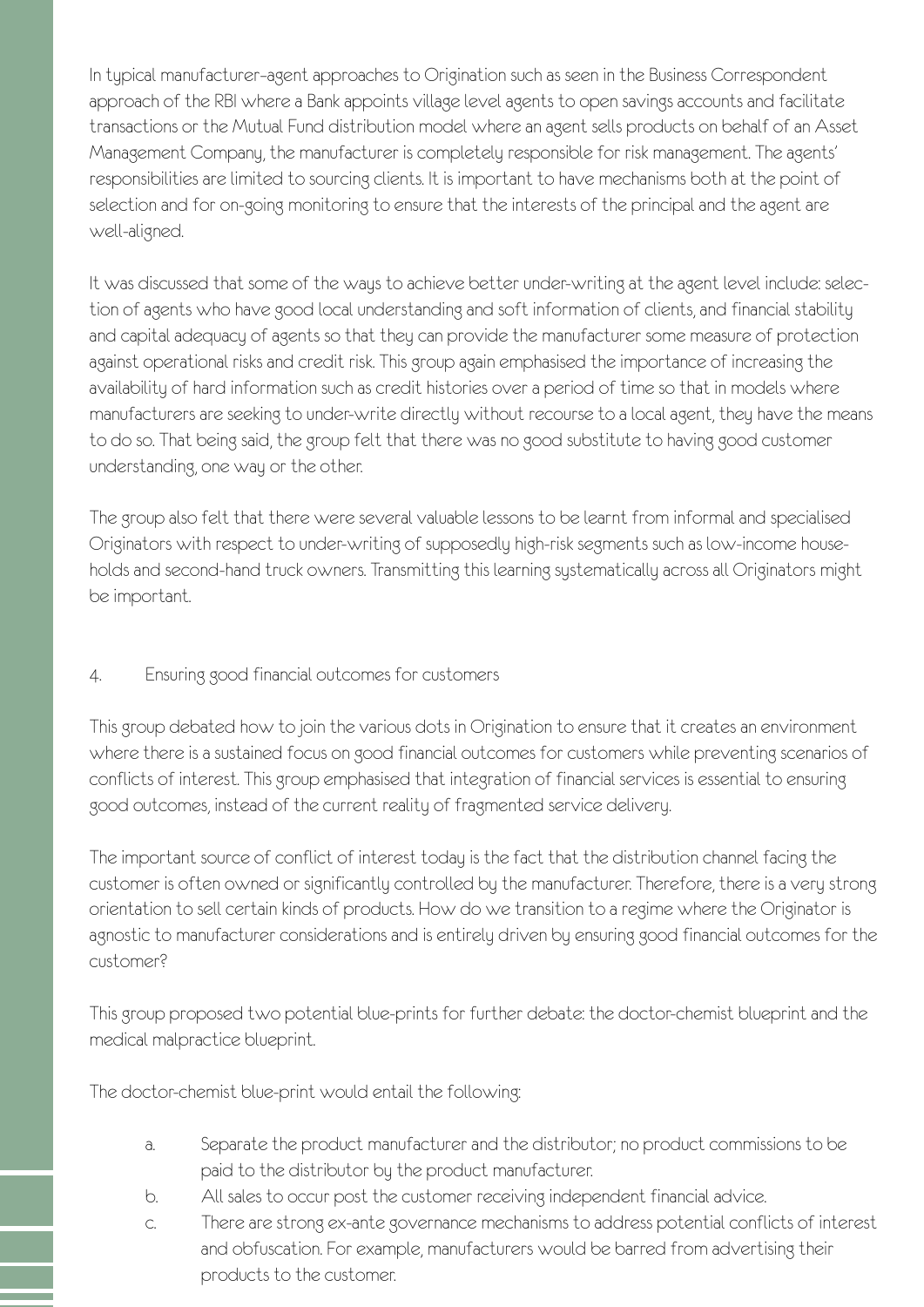In typical manufacturer–agent approaches to Origination such as seen in the Business Correspondent approach of the RBI where a Bank appoints village level agents to open savings accounts and facilitate transactions or the Mutual Fund distribution model where an agent sells products on behalf of an Asset Management Company, the manufacturer is completely responsible for risk management. The agents' responsibilities are limited to sourcing clients. It is important to have mechanisms both at the point of selection and for on-going monitoring to ensure that the interests of the principal and the agent are well-aligned.

It was discussed that some of the ways to achieve better under-writing at the agent level include: selection of agents who have good local understanding and soft information of clients, and financial stability and capital adequacy of agents so that they can provide the manufacturer some measure of protection against operational risks and credit risk. This group again emphasised the importance of increasing the availability of hard information such as credit histories over a period of time so that in models where manufacturers are seeking to under-write directly without recourse to a local agent, they have the means to do so. That being said, the group felt that there was no good substitute to having good customer understanding, one way or the other.

The group also felt that there were several valuable lessons to be learnt from informal and specialised Originators with respect to under-writing of supposedly high-risk segments such as low-income households and second-hand truck owners. Transmitting this learning systematically across all Originators might be important.

#### 4. Ensuring good financial outcomes for customers

This group debated how to join the various dots in Origination to ensure that it creates an environment where there is a sustained focus on good financial outcomes for customers while preventing scenarios of conflicts of interest. This group emphasised that integration of financial services is essential to ensuring good outcomes, instead of the current reality of fragmented service delivery.

The important source of conflict of interest today is the fact that the distribution channel facing the customer is often owned or significantly controlled by the manufacturer. Therefore, there is a very strong orientation to sell certain kinds of products. How do we transition to a regime where the Originator is agnostic to manufacturer considerations and is entirely driven by ensuring good financial outcomes for the customer?

This group proposed two potential blue-prints for further debate: the doctor-chemist blueprint and the medical malpractice blueprint.

The doctor-chemist blue-print would entail the following:

- a. Separate the product manufacturer and the distributor; no product commissions to be paid to the distributor by the product manufacturer.
- b. All sales to occur post the customer receiving independent financial advice.
- c. There are strong ex-ante governance mechanisms to address potential conflicts of interest and obfuscation. For example, manufacturers would be barred from advertising their products to the customer.